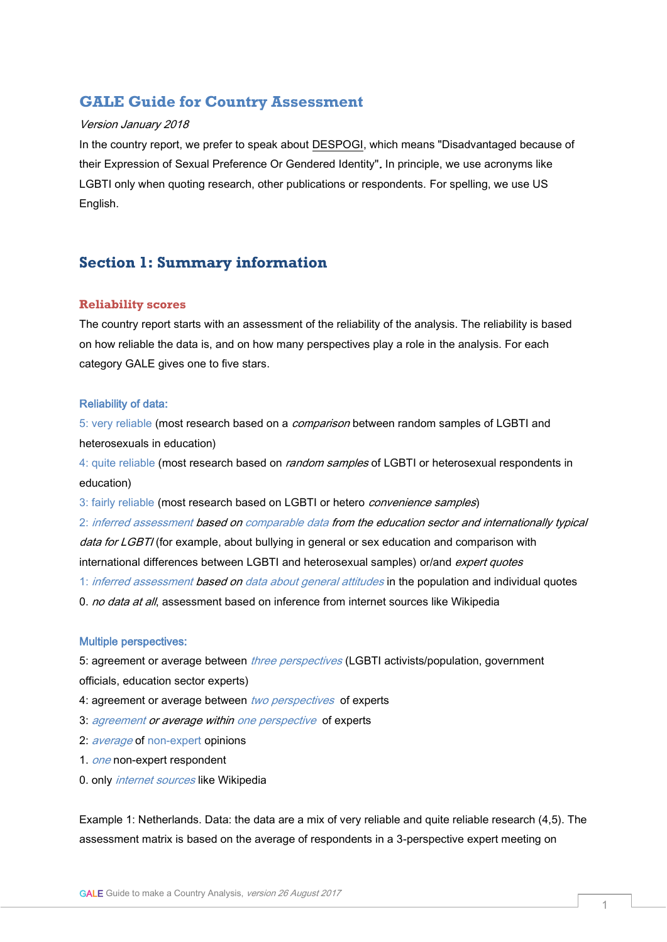# **GALE Guide for Country Assessment**

#### Version January 2018

In the country report, we prefer to speak about [DESPOGI,](https://www.gale.info/en/right-to-education/despogi) which means "Disadvantaged because of their Expression of Sexual Preference Or Gendered Identity". In principle, we use acronyms like LGBTI only when quoting research, other publications or respondents. For spelling, we use US English.

# **Section 1: Summary information**

#### **Reliability scores**

The country report starts with an assessment of the reliability of the analysis. The reliability is based on how reliable the data is, and on how many perspectives play a role in the analysis. For each category GALE gives one to five stars.

#### Reliability of data:

5: very reliable (most research based on a *comparison* between random samples of LGBTI and heterosexuals in education)

4: quite reliable (most research based on *random samples* of LGBTI or heterosexual respondents in education)

3: fairly reliable (most research based on LGBTI or hetero *convenience samples*)

2: inferred assessment based on comparable data from the education sector and internationally typical data for LGBTI (for example, about bullying in general or sex education and comparison with international differences between LGBTI and heterosexual samples) or/and expert quotes 1: inferred assessment based on data about general attitudes in the population and individual quotes

0. no data at all, assessment based on inference from internet sources like Wikipedia

### Multiple perspectives:

5: agreement or average between *three perspectives* (LGBTI activists/population, government officials, education sector experts)

- 4: agreement or average between two perspectives of experts
- 3: agreement or average within one perspective of experts
- 2: *average* of non-expert opinions
- 1. one non-expert respondent
- 0. only *internet sources* like Wikipedia

Example 1: Netherlands. Data: the data are a mix of very reliable and quite reliable research (4,5). The assessment matrix is based on the average of respondents in a 3-perspective expert meeting on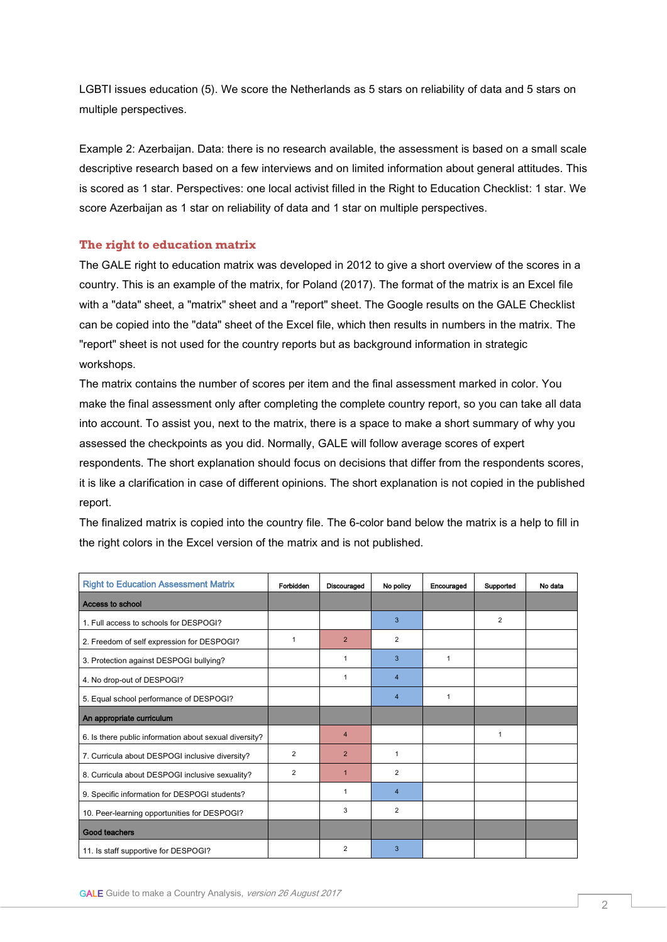LGBTI issues education (5). We score the Netherlands as 5 stars on reliability of data and 5 stars on multiple perspectives.

Example 2: Azerbaijan. Data: there is no research available, the assessment is based on a small scale descriptive research based on a few interviews and on limited information about general attitudes. This is scored as 1 star. Perspectives: one local activist filled in the Right to Education Checklist: 1 star. We score Azerbaijan as 1 star on reliability of data and 1 star on multiple perspectives.

## **The right to education matrix**

The GALE right to education matrix was developed in 2012 to give a short overview of the scores in a country. This is an example of the matrix, for Poland (2017). The format of the matrix is an Excel file with a "data" sheet, a "matrix" sheet and a "report" sheet. The Google results on the GALE Checklist can be copied into the "data" sheet of the Excel file, which then results in numbers in the matrix. The "report" sheet is not used for the country reports but as background information in strategic workshops.

The matrix contains the number of scores per item and the final assessment marked in color. You make the final assessment only after completing the complete country report, so you can take all data into account. To assist you, next to the matrix, there is a space to make a short summary of why you assessed the checkpoints as you did. Normally, GALE will follow average scores of expert respondents. The short explanation should focus on decisions that differ from the respondents scores, it is like a clarification in case of different opinions. The short explanation is not copied in the published report.

| <b>Right to Education Assessment Matrix</b>            | Forbidden      | Discouraged    | No policy      | Encouraged   | Supported      | No data |
|--------------------------------------------------------|----------------|----------------|----------------|--------------|----------------|---------|
| Access to school                                       |                |                |                |              |                |         |
| 1. Full access to schools for DESPOGI?                 |                |                | 3              |              | $\overline{2}$ |         |
| 2. Freedom of self expression for DESPOGI?             | $\mathbf{1}$   | $\overline{2}$ | $\overline{2}$ |              |                |         |
| 3. Protection against DESPOGI bullying?                |                | 1              | 3              | $\mathbf{1}$ |                |         |
| 4. No drop-out of DESPOGI?                             |                | 1              | 4              |              |                |         |
| 5. Equal school performance of DESPOGI?                |                |                | 4              | $\mathbf{1}$ |                |         |
| An appropriate curriculum                              |                |                |                |              |                |         |
| 6. Is there public information about sexual diversity? |                | $\overline{4}$ |                |              | 1              |         |
| 7. Curricula about DESPOGI inclusive diversity?        | $\overline{2}$ | $\overline{2}$ | $\mathbf{1}$   |              |                |         |
| 8. Curricula about DESPOGI inclusive sexuality?        | $\overline{2}$ | $\mathbf{1}$   | $\overline{2}$ |              |                |         |
| 9. Specific information for DESPOGI students?          |                | 1              | 4              |              |                |         |
| 10. Peer-learning opportunities for DESPOGI?           |                | 3              | $\overline{2}$ |              |                |         |
| Good teachers                                          |                |                |                |              |                |         |
| 11. Is staff supportive for DESPOGI?                   |                | $\overline{2}$ | 3              |              |                |         |

The finalized matrix is copied into the country file. The 6-color band below the matrix is a help to fill in the right colors in the Excel version of the matrix and is not published.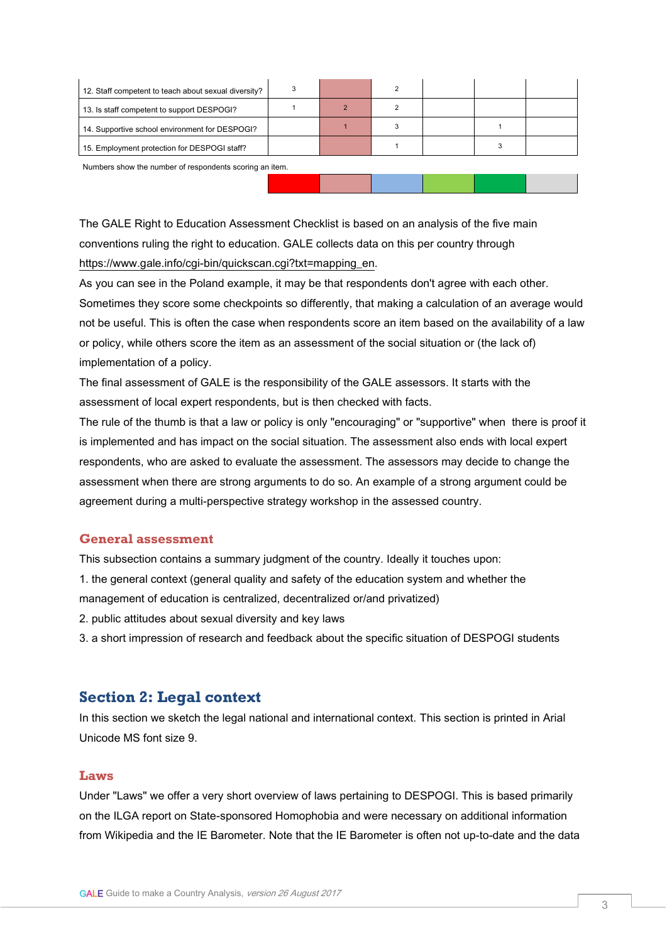Numbers show the number of respondents scoring an item.

The GALE Right to Education Assessment Checklist is based on an analysis of the five main conventions ruling the right to education. GALE collects data on this per country through https://www.gale.info/cgi-bin/guickscan.cgi?txt=mapping\_en.

As you can see in the Poland example, it may be that respondents don't agree with each other. Sometimes they score some checkpoints so differently, that making a calculation of an average would not be useful. This is often the case when respondents score an item based on the availability of a law or policy, while others score the item as an assessment of the social situation or (the lack of) implementation of a policy.

The final assessment of GALE is the responsibility of the GALE assessors. It starts with the assessment of local expert respondents, but is then checked with facts.

The rule of the thumb is that a law or policy is only "encouraging" or "supportive" when there is proof it is implemented and has impact on the social situation. The assessment also ends with local expert respondents, who are asked to evaluate the assessment. The assessors may decide to change the assessment when there are strong arguments to do so. An example of a strong argument could be agreement during a multi-perspective strategy workshop in the assessed country.

# **General assessment**

This subsection contains a summary judgment of the country. Ideally it touches upon: 1. the general context (general quality and safety of the education system and whether the management of education is centralized, decentralized or/and privatized) 2. public attitudes about sexual diversity and key laws 3. a short impression of research and feedback about the specific situation of DESPOGI students

# **Section 2: Legal context**

In this section we sketch the legal national and international context. This section is printed in Arial Unicode MS font size 9.

## **Laws**

Under "Laws" we offer a very short overview of laws pertaining to DESPOGI. This is based primarily on the ILGA report on State-sponsored Homophobia and were necessary on additional information from Wikipedia and the IE Barometer. Note that the IE Barometer is often not up-to-date and the data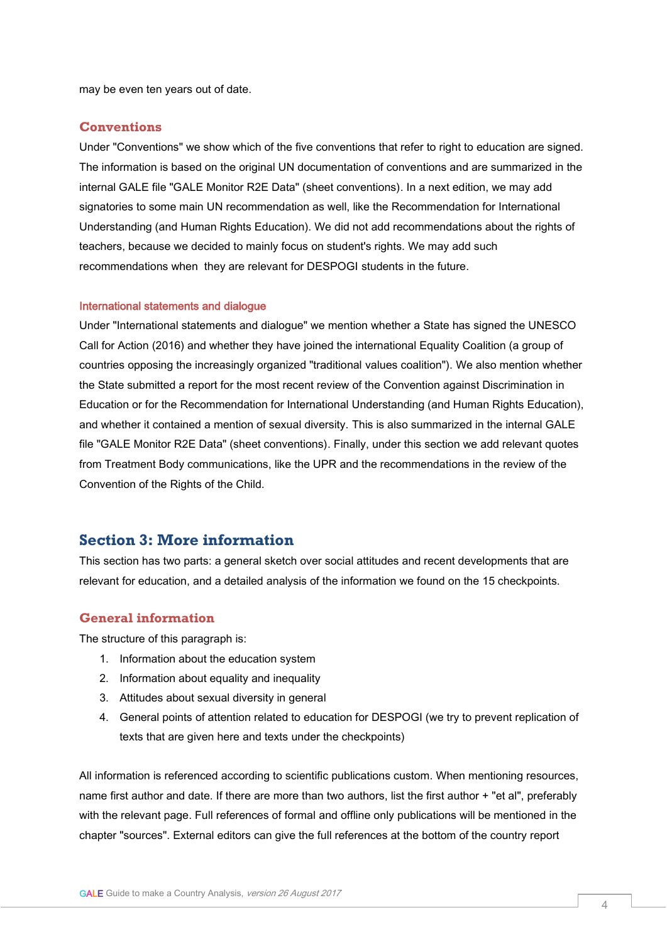may be even ten years out of date.

### **Conventions**

Under "Conventions" we show which of the five conventions that refer to right to education are signed. The information is based on the original UN documentation of conventions and are summarized in the internal GALE file "GALE Monitor R2E Data" (sheet conventions). In a next edition, we may add signatories to some main UN recommendation as well, like the Recommendation for International Understanding (and Human Rights Education). We did not add recommendations about the rights of teachers, because we decided to mainly focus on student's rights. We may add such recommendations when they are relevant for DESPOGI students in the future.

#### International statements and dialogue

Under "International statements and dialogue" we mention whether a State has signed the UNESCO Call for Action (2016) and whether they have joined the international Equality Coalition (a group of countries opposing the increasingly organized "traditional values coalition"). We also mention whether the State submitted a report for the most recent review of the Convention against Discrimination in Education or for the Recommendation for International Understanding (and Human Rights Education), and whether it contained a mention of sexual diversity. This is also summarized in the internal GALE file "GALE Monitor R2E Data" (sheet conventions). Finally, under this section we add relevant quotes from Treatment Body communications, like the UPR and the recommendations in the review of the Convention of the Rights of the Child.

# **Section 3: More information**

This section has two parts: a general sketch over social attitudes and recent developments that are relevant for education, and a detailed analysis of the information we found on the 15 checkpoints.

## **General information**

The structure of this paragraph is:

- 1. Information about the education system
- 2. Information about equality and inequality
- 3. Attitudes about sexual diversity in general
- 4. General points of attention related to education for DESPOGI (we try to prevent replication of texts that are given here and texts under the checkpoints)

All information is referenced according to scientific publications custom. When mentioning resources, name first author and date. If there are more than two authors, list the first author + "et al", preferably with the relevant page. Full references of formal and offline only publications will be mentioned in the chapter "sources". External editors can give the full references at the bottom of the country report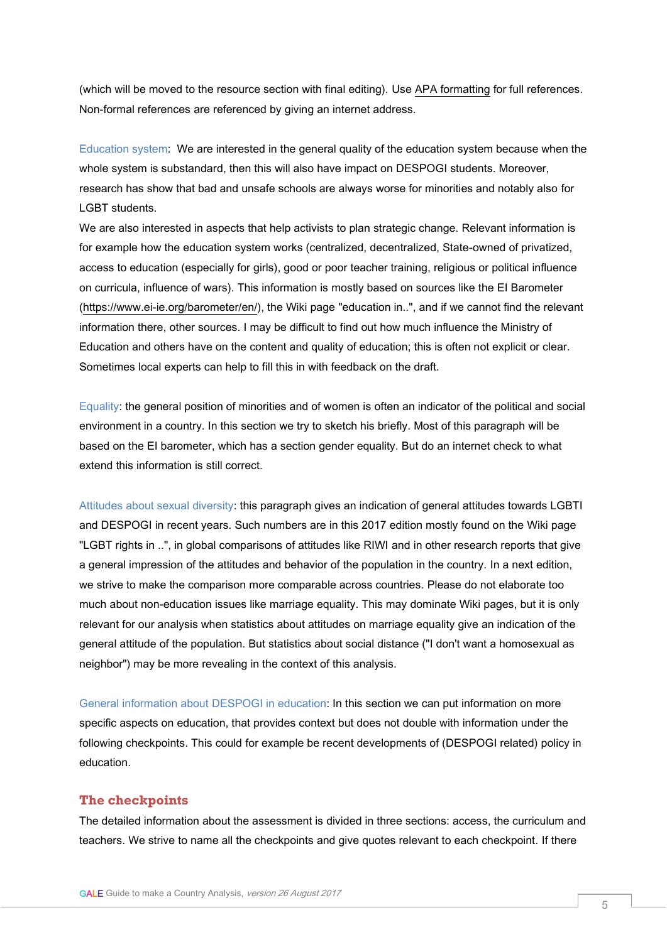(which will be moved to the resource section with final editing). Use [APA formatting](http://www.bibme.org/citation-guide/apa/) for full references. Non-formal references are referenced by giving an internet address.

Education system: We are interested in the general quality of the education system because when the whole system is substandard, then this will also have impact on DESPOGI students. Moreover, research has show that bad and unsafe schools are always worse for minorities and notably also for LGBT students.

We are also interested in aspects that help activists to plan strategic change. Relevant information is for example how the education system works (centralized, decentralized, State-owned of privatized, access to education (especially for girls), good or poor teacher training, religious or political influence on curricula, influence of wars). This information is mostly based on sources like the EI Barometer [\(https://www.ei-ie.org/barometer/en/\)](https://www.ei-ie.org/barometer/en/), the Wiki page "education in..", and if we cannot find the relevant information there, other sources. I may be difficult to find out how much influence the Ministry of Education and others have on the content and quality of education; this is often not explicit or clear. Sometimes local experts can help to fill this in with feedback on the draft.

Equality: the general position of minorities and of women is often an indicator of the political and social environment in a country. In this section we try to sketch his briefly. Most of this paragraph will be based on the EI barometer, which has a section gender equality. But do an internet check to what extend this information is still correct.

Attitudes about sexual diversity: this paragraph gives an indication of general attitudes towards LGBTI and DESPOGI in recent years. Such numbers are in this 2017 edition mostly found on the Wiki page "LGBT rights in ..", in global comparisons of attitudes like RIWI and in other research reports that give a general impression of the attitudes and behavior of the population in the country. In a next edition, we strive to make the comparison more comparable across countries. Please do not elaborate too much about non-education issues like marriage equality. This may dominate Wiki pages, but it is only relevant for our analysis when statistics about attitudes on marriage equality give an indication of the general attitude of the population. But statistics about social distance ("I don't want a homosexual as neighbor") may be more revealing in the context of this analysis.

General information about DESPOGI in education: In this section we can put information on more specific aspects on education, that provides context but does not double with information under the following checkpoints. This could for example be recent developments of (DESPOGI related) policy in education.

## **The checkpoints**

The detailed information about the assessment is divided in three sections: access, the curriculum and teachers. We strive to name all the checkpoints and give quotes relevant to each checkpoint. If there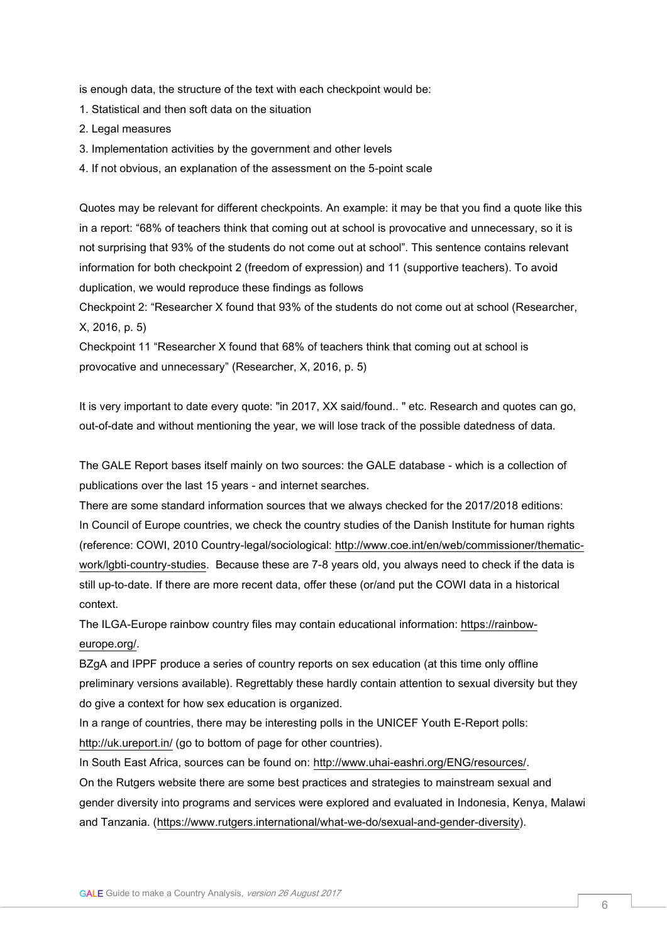is enough data, the structure of the text with each checkpoint would be:

- 1. Statistical and then soft data on the situation
- 2. Legal measures
- 3. Implementation activities by the government and other levels
- 4. If not obvious, an explanation of the assessment on the 5-point scale

Quotes may be relevant for different checkpoints. An example: it may be that you find a quote like this in a report: "68% of teachers think that coming out at school is provocative and unnecessary, so it is not surprising that 93% of the students do not come out at school". This sentence contains relevant information for both checkpoint 2 (freedom of expression) and 11 (supportive teachers). To avoid duplication, we would reproduce these findings as follows

Checkpoint 2: "Researcher X found that 93% of the students do not come out at school (Researcher, X, 2016, p. 5)

Checkpoint 11 "Researcher X found that 68% of teachers think that coming out at school is provocative and unnecessary" (Researcher, X, 2016, p. 5)

It is very important to date every quote: "in 2017, XX said/found.. " etc. Research and quotes can go, out-of-date and without mentioning the year, we will lose track of the possible datedness of data.

The GALE Report bases itself mainly on two sources: the GALE database - which is a collection of publications over the last 15 years - and internet searches.

There are some standard information sources that we always checked for the 2017/2018 editions: In Council of Europe countries, we check the country studies of the Danish Institute for human rights (reference: COWI, 2010 Country-legal/sociological: [http://www.coe.int/en/web/commissioner/thematic](http://www.coe.int/en/web/commissioner/thematic-work/lgbti-country-studies)[work/lgbti-country-studies.](http://www.coe.int/en/web/commissioner/thematic-work/lgbti-country-studies) Because these are 7-8 years old, you always need to check if the data is still up-to-date. If there are more recent data, offer these (or/and put the COWI data in a historical context.

The ILGA-Europe rainbow country files may contain educational information: [https://rainbow](https://rainbow-europe.org/)[europe.org/.](https://rainbow-europe.org/)

BZgA and IPPF produce a series of country reports on sex education (at this time only offline preliminary versions available). Regrettably these hardly contain attention to sexual diversity but they do give a context for how sex education is organized.

In a range of countries, there may be interesting polls in the UNICEF Youth E-Report polls: <http://uk.ureport.in/> (go to bottom of page for other countries).

In South East Africa, sources can be found on: [http://www.uhai-eashri.org/ENG/resources/.](http://www.uhai-eashri.org/ENG/resources/) On the Rutgers website there are some best practices and strategies to mainstream sexual and gender diversity into programs and services were explored and evaluated in Indonesia, Kenya, Malawi and Tanzania. [\(https://www.rutgers.international/what-we-do/sexual-and-gender-diversity\)](https://www.rutgers.international/what-we-do/sexual-and-gender-diversity).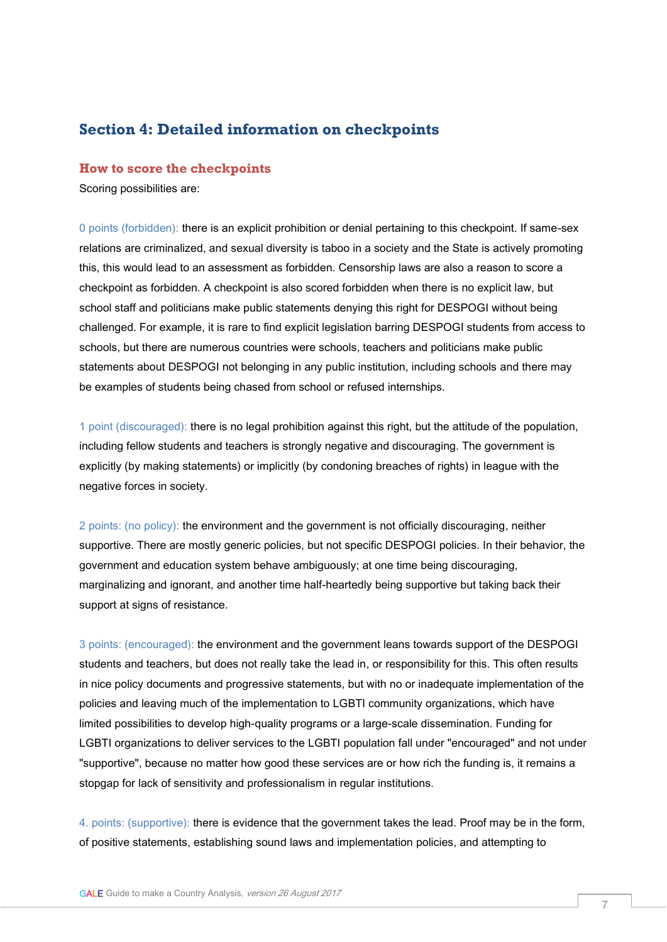# **Section 4: Detailed information on checkpoints**

## **How to score the checkpoints**

Scoring possibilities are:

0 points (forbidden): there is an explicit prohibition or denial pertaining to this checkpoint. If same-sex relations are criminalized, and sexual diversity is taboo in a society and the State is actively promoting this, this would lead to an assessment as forbidden. Censorship laws are also a reason to score a checkpoint as forbidden. A checkpoint is also scored forbidden when there is no explicit law, but school staff and politicians make public statements denying this right for DESPOGI without being challenged. For example, it is rare to find explicit legislation barring DESPOGI students from access to schools, but there are numerous countries were schools, teachers and politicians make public statements about DESPOGI not belonging in any public institution, including schools and there may be examples of students being chased from school or refused internships.

1 point (discouraged): there is no legal prohibition against this right, but the attitude of the population, including fellow students and teachers is strongly negative and discouraging. The government is explicitly (by making statements) or implicitly (by condoning breaches of rights) in league with the negative forces in society.

2 points: (no policy): the environment and the government is not officially discouraging, neither supportive. There are mostly generic policies, but not specific DESPOGI policies. In their behavior, the government and education system behave ambiguously; at one time being discouraging, marginalizing and ignorant, and another time half-heartedly being supportive but taking back their support at signs of resistance.

3 points: (encouraged): the environment and the government leans towards support of the DESPOGI students and teachers, but does not really take the lead in, or responsibility for this. This often results in nice policy documents and progressive statements, but with no or inadequate implementation of the policies and leaving much of the implementation to LGBTI community organizations, which have limited possibilities to develop high-quality programs or a large-scale dissemination. Funding for LGBTI organizations to deliver services to the LGBTI population fall under "encouraged" and not under "supportive", because no matter how good these services are or how rich the funding is, it remains a stopgap for lack of sensitivity and professionalism in regular institutions.

4. points: (supportive): there is evidence that the government takes the lead. Proof may be in the form, of positive statements, establishing sound laws and implementation policies, and attempting to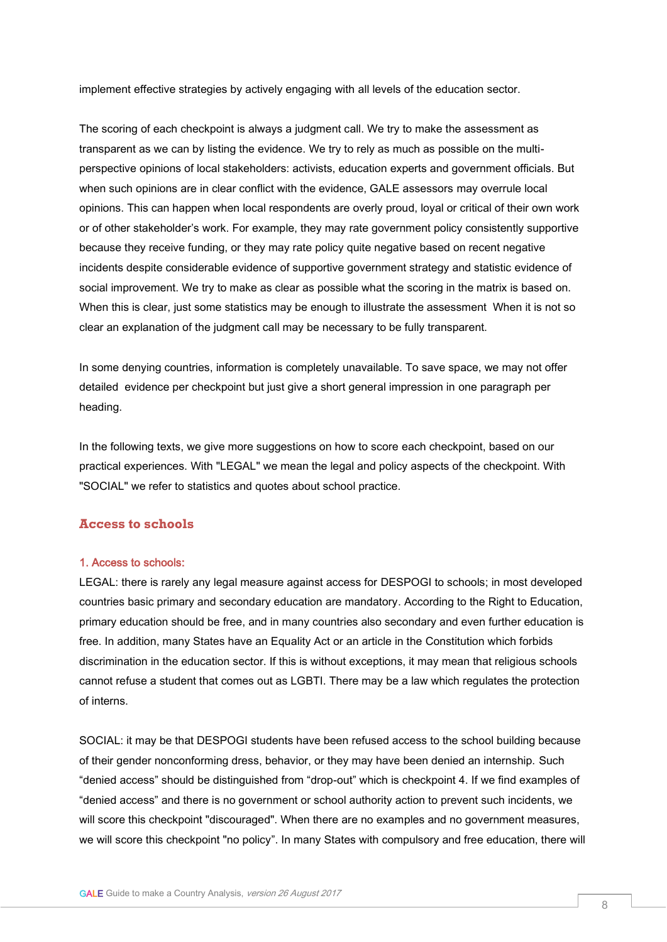implement effective strategies by actively engaging with all levels of the education sector.

The scoring of each checkpoint is always a judgment call. We try to make the assessment as transparent as we can by listing the evidence. We try to rely as much as possible on the multiperspective opinions of local stakeholders: activists, education experts and government officials. But when such opinions are in clear conflict with the evidence, GALE assessors may overrule local opinions. This can happen when local respondents are overly proud, loyal or critical of their own work or of other stakeholder's work. For example, they may rate government policy consistently supportive because they receive funding, or they may rate policy quite negative based on recent negative incidents despite considerable evidence of supportive government strategy and statistic evidence of social improvement. We try to make as clear as possible what the scoring in the matrix is based on. When this is clear, just some statistics may be enough to illustrate the assessment When it is not so clear an explanation of the judgment call may be necessary to be fully transparent.

In some denying countries, information is completely unavailable. To save space, we may not offer detailed evidence per checkpoint but just give a short general impression in one paragraph per heading.

In the following texts, we give more suggestions on how to score each checkpoint, based on our practical experiences. With "LEGAL" we mean the legal and policy aspects of the checkpoint. With "SOCIAL" we refer to statistics and quotes about school practice.

## **Access to schools**

#### 1. Access to schools:

LEGAL: there is rarely any legal measure against access for DESPOGI to schools; in most developed countries basic primary and secondary education are mandatory. According to the Right to Education, primary education should be free, and in many countries also secondary and even further education is free. In addition, many States have an Equality Act or an article in the Constitution which forbids discrimination in the education sector. If this is without exceptions, it may mean that religious schools cannot refuse a student that comes out as LGBTI. There may be a law which regulates the protection of interns.

SOCIAL: it may be that DESPOGI students have been refused access to the school building because of their gender nonconforming dress, behavior, or they may have been denied an internship. Such "denied access" should be distinguished from "drop-out" which is checkpoint 4. If we find examples of "denied access" and there is no government or school authority action to prevent such incidents, we will score this checkpoint "discouraged". When there are no examples and no government measures, we will score this checkpoint "no policy". In many States with compulsory and free education, there will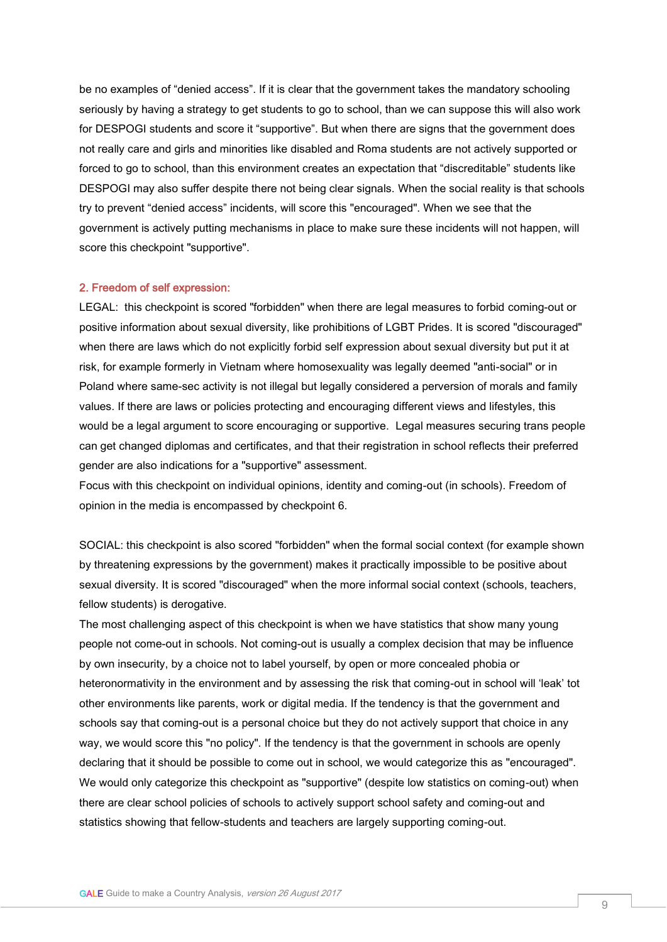be no examples of "denied access". If it is clear that the government takes the mandatory schooling seriously by having a strategy to get students to go to school, than we can suppose this will also work for DESPOGI students and score it "supportive". But when there are signs that the government does not really care and girls and minorities like disabled and Roma students are not actively supported or forced to go to school, than this environment creates an expectation that "discreditable" students like DESPOGI may also suffer despite there not being clear signals. When the social reality is that schools try to prevent "denied access" incidents, will score this "encouraged". When we see that the government is actively putting mechanisms in place to make sure these incidents will not happen, will score this checkpoint "supportive".

### 2. Freedom of self expression:

LEGAL: this checkpoint is scored "forbidden" when there are legal measures to forbid coming-out or positive information about sexual diversity, like prohibitions of LGBT Prides. It is scored "discouraged" when there are laws which do not explicitly forbid self expression about sexual diversity but put it at risk, for example formerly in Vietnam where homosexuality was legally deemed "anti-social" or in Poland where same-sec activity is not illegal but legally considered a perversion of morals and family values. If there are laws or policies protecting and encouraging different views and lifestyles, this would be a legal argument to score encouraging or supportive. Legal measures securing trans people can get changed diplomas and certificates, and that their registration in school reflects their preferred gender are also indications for a "supportive" assessment.

Focus with this checkpoint on individual opinions, identity and coming-out (in schools). Freedom of opinion in the media is encompassed by checkpoint 6.

SOCIAL: this checkpoint is also scored "forbidden" when the formal social context (for example shown by threatening expressions by the government) makes it practically impossible to be positive about sexual diversity. It is scored "discouraged" when the more informal social context (schools, teachers, fellow students) is derogative.

The most challenging aspect of this checkpoint is when we have statistics that show many young people not come-out in schools. Not coming-out is usually a complex decision that may be influence by own insecurity, by a choice not to label yourself, by open or more concealed phobia or heteronormativity in the environment and by assessing the risk that coming-out in school will 'leak' tot other environments like parents, work or digital media. If the tendency is that the government and schools say that coming-out is a personal choice but they do not actively support that choice in any way, we would score this "no policy". If the tendency is that the government in schools are openly declaring that it should be possible to come out in school, we would categorize this as "encouraged". We would only categorize this checkpoint as "supportive" (despite low statistics on coming-out) when there are clear school policies of schools to actively support school safety and coming-out and statistics showing that fellow-students and teachers are largely supporting coming-out.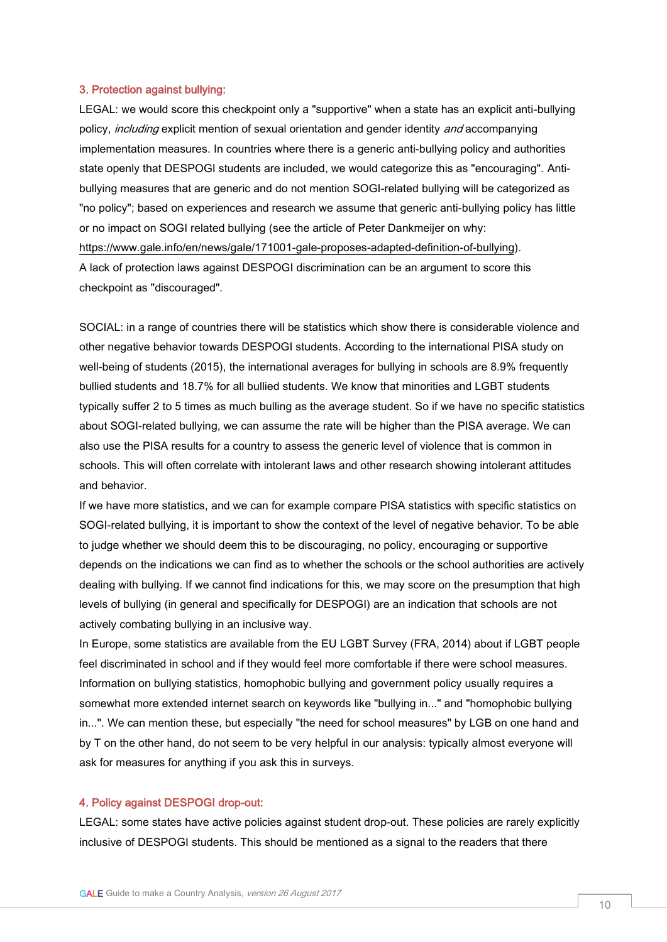#### 3. Protection against bullying:

LEGAL: we would score this checkpoint only a "supportive" when a state has an explicit anti-bullying policy, *including* explicit mention of sexual orientation and gender identity *and* accompanying implementation measures. In countries where there is a generic anti-bullying policy and authorities state openly that DESPOGI students are included, we would categorize this as "encouraging". Antibullying measures that are generic and do not mention SOGI-related bullying will be categorized as "no policy"; based on experiences and research we assume that generic anti-bullying policy has little or no impact on SOGI related bullying (see the article of Peter Dankmeijer on why: [https://www.gale.info/en/news/gale/171001-gale-proposes-adapted-definition-of-bullying\)](https://www.gale.info/en/news/gale/171001-gale-proposes-adapted-definition-of-bullying). A lack of protection laws against DESPOGI discrimination can be an argument to score this checkpoint as "discouraged".

SOCIAL: in a range of countries there will be statistics which show there is considerable violence and other negative behavior towards DESPOGI students. According to the international PISA study on well-being of students (2015), the international averages for bullying in schools are 8.9% frequently bullied students and 18.7% for all bullied students. We know that minorities and LGBT students typically suffer 2 to 5 times as much bulling as the average student. So if we have no specific statistics about SOGI-related bullying, we can assume the rate will be higher than the PISA average. We can also use the PISA results for a country to assess the generic level of violence that is common in schools. This will often correlate with intolerant laws and other research showing intolerant attitudes and behavior.

If we have more statistics, and we can for example compare PISA statistics with specific statistics on SOGI-related bullying, it is important to show the context of the level of negative behavior. To be able to judge whether we should deem this to be discouraging, no policy, encouraging or supportive depends on the indications we can find as to whether the schools or the school authorities are actively dealing with bullying. If we cannot find indications for this, we may score on the presumption that high levels of bullying (in general and specifically for DESPOGI) are an indication that schools are not actively combating bullying in an inclusive way.

In Europe, some statistics are available from the EU LGBT Survey (FRA, 2014) about if LGBT people feel discriminated in school and if they would feel more comfortable if there were school measures. Information on bullying statistics, homophobic bullying and government policy usually requires a somewhat more extended internet search on keywords like "bullying in..." and "homophobic bullying in...". We can mention these, but especially "the need for school measures" by LGB on one hand and by T on the other hand, do not seem to be very helpful in our analysis: typically almost everyone will ask for measures for anything if you ask this in surveys.

### 4. Policy against DESPOGI drop-out:

LEGAL: some states have active policies against student drop-out. These policies are rarely explicitly inclusive of DESPOGI students. This should be mentioned as a signal to the readers that there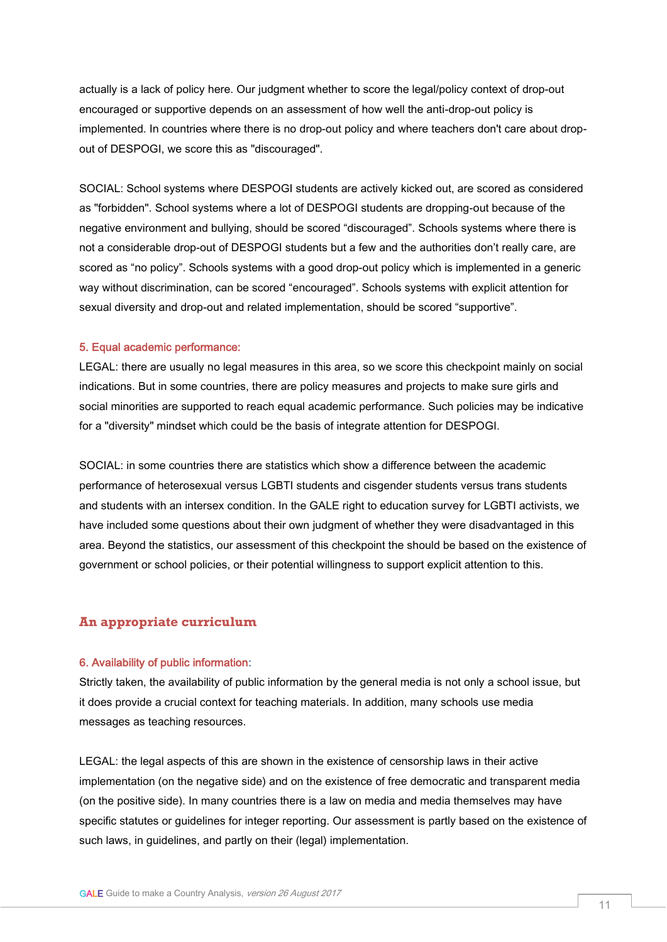actually is a lack of policy here. Our judgment whether to score the legal/policy context of drop-out encouraged or supportive depends on an assessment of how well the anti-drop-out policy is implemented. In countries where there is no drop-out policy and where teachers don't care about dropout of DESPOGI, we score this as "discouraged".

SOCIAL: School systems where DESPOGI students are actively kicked out, are scored as considered as "forbidden". School systems where a lot of DESPOGI students are dropping-out because of the negative environment and bullying, should be scored "discouraged". Schools systems where there is not a considerable drop-out of DESPOGI students but a few and the authorities don't really care, are scored as "no policy". Schools systems with a good drop-out policy which is implemented in a generic way without discrimination, can be scored "encouraged". Schools systems with explicit attention for sexual diversity and drop-out and related implementation, should be scored "supportive".

#### 5. Equal academic performance:

LEGAL: there are usually no legal measures in this area, so we score this checkpoint mainly on social indications. But in some countries, there are policy measures and projects to make sure girls and social minorities are supported to reach equal academic performance. Such policies may be indicative for a "diversity" mindset which could be the basis of integrate attention for DESPOGI.

SOCIAL: in some countries there are statistics which show a difference between the academic performance of heterosexual versus LGBTI students and cisgender students versus trans students and students with an intersex condition. In the GALE right to education survey for LGBTI activists, we have included some questions about their own judgment of whether they were disadvantaged in this area. Beyond the statistics, our assessment of this checkpoint the should be based on the existence of government or school policies, or their potential willingness to support explicit attention to this.

## **An appropriate curriculum**

#### 6. Availability of public information:

Strictly taken, the availability of public information by the general media is not only a school issue, but it does provide a crucial context for teaching materials. In addition, many schools use media messages as teaching resources.

LEGAL: the legal aspects of this are shown in the existence of censorship laws in their active implementation (on the negative side) and on the existence of free democratic and transparent media (on the positive side). In many countries there is a law on media and media themselves may have specific statutes or guidelines for integer reporting. Our assessment is partly based on the existence of such laws, in guidelines, and partly on their (legal) implementation.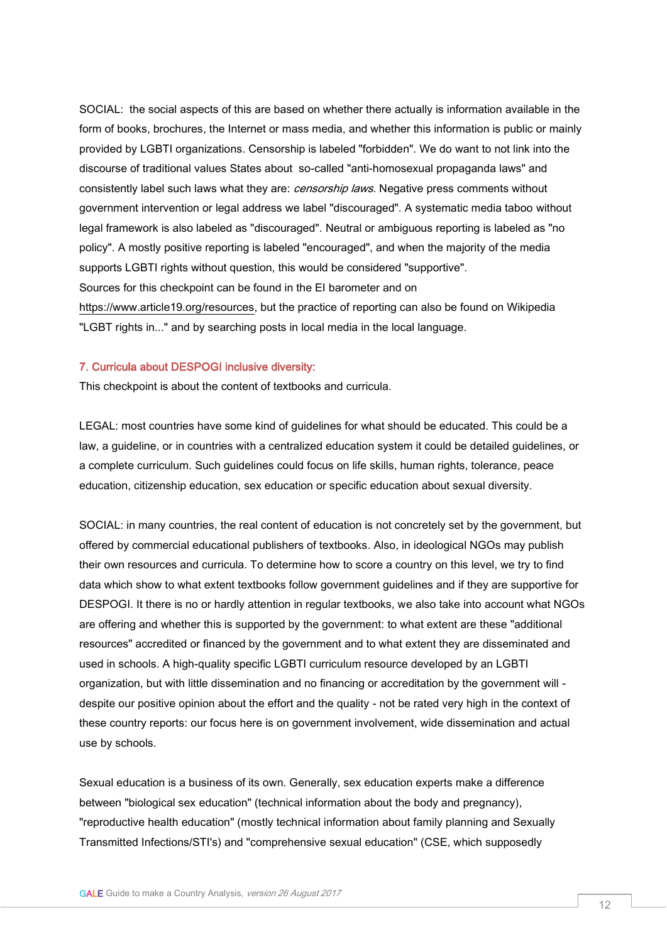SOCIAL: the social aspects of this are based on whether there actually is information available in the form of books, brochures, the Internet or mass media, and whether this information is public or mainly provided by LGBTI organizations. Censorship is labeled "forbidden". We do want to not link into the discourse of traditional values States about so-called "anti-homosexual propaganda laws" and consistently label such laws what they are: *censorship laws*. Negative press comments without government intervention or legal address we label "discouraged". A systematic media taboo without legal framework is also labeled as "discouraged". Neutral or ambiguous reporting is labeled as "no policy". A mostly positive reporting is labeled "encouraged", and when the majority of the media supports LGBTI rights without question, this would be considered "supportive". Sources for this checkpoint can be found in the EI barometer and on [https://www.article19.org/resources,](https://www.article19.org/resources) but the practice of reporting can also be found on Wikipedia "LGBT rights in..." and by searching posts in local media in the local language.

#### 7. Curricula about DESPOGI inclusive diversity:

This checkpoint is about the content of textbooks and curricula.

LEGAL: most countries have some kind of guidelines for what should be educated. This could be a law, a guideline, or in countries with a centralized education system it could be detailed guidelines, or a complete curriculum. Such guidelines could focus on life skills, human rights, tolerance, peace education, citizenship education, sex education or specific education about sexual diversity.

SOCIAL: in many countries, the real content of education is not concretely set by the government, but offered by commercial educational publishers of textbooks. Also, in ideological NGOs may publish their own resources and curricula. To determine how to score a country on this level, we try to find data which show to what extent textbooks follow government guidelines and if they are supportive for DESPOGI. It there is no or hardly attention in regular textbooks, we also take into account what NGOs are offering and whether this is supported by the government: to what extent are these "additional resources" accredited or financed by the government and to what extent they are disseminated and used in schools. A high-quality specific LGBTI curriculum resource developed by an LGBTI organization, but with little dissemination and no financing or accreditation by the government will despite our positive opinion about the effort and the quality - not be rated very high in the context of these country reports: our focus here is on government involvement, wide dissemination and actual use by schools.

Sexual education is a business of its own. Generally, sex education experts make a difference between "biological sex education" (technical information about the body and pregnancy), "reproductive health education" (mostly technical information about family planning and Sexually Transmitted Infections/STI's) and "comprehensive sexual education" (CSE, which supposedly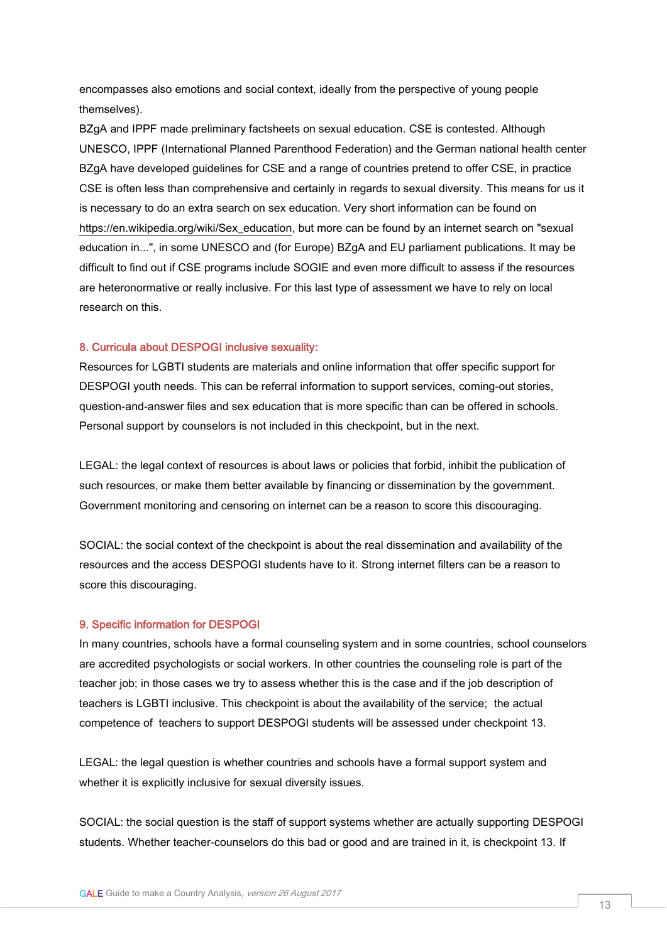encompasses also emotions and social context, ideally from the perspective of young people themselves).

BZgA and IPPF made preliminary factsheets on sexual education. CSE is contested. Although UNESCO, IPPF (International Planned Parenthood Federation) and the German national health center BZgA have developed guidelines for CSE and a range of countries pretend to offer CSE, in practice CSE is often less than comprehensive and certainly in regards to sexual diversity. This means for us it is necessary to do an extra search on sex education. Very short information can be found on [https://en.wikipedia.org/wiki/Sex\\_education,](https://en.wikipedia.org/wiki/Sex_education) but more can be found by an internet search on "sexual education in...", in some UNESCO and (for Europe) BZgA and EU parliament publications. It may be difficult to find out if CSE programs include SOGIE and even more difficult to assess if the resources are heteronormative or really inclusive. For this last type of assessment we have to rely on local research on this.

#### 8. Curricula about DESPOGI inclusive sexuality:

Resources for LGBTI students are materials and online information that offer specific support for DESPOGI youth needs. This can be referral information to support services, coming-out stories, question-and-answer files and sex education that is more specific than can be offered in schools. Personal support by counselors is not included in this checkpoint, but in the next.

LEGAL: the legal context of resources is about laws or policies that forbid, inhibit the publication of such resources, or make them better available by financing or dissemination by the government. Government monitoring and censoring on internet can be a reason to score this discouraging.

SOCIAL: the social context of the checkpoint is about the real dissemination and availability of the resources and the access DESPOGI students have to it. Strong internet filters can be a reason to score this discouraging.

#### 9. Specific information for DESPOGI

In many countries, schools have a formal counseling system and in some countries, school counselors are accredited psychologists or social workers. In other countries the counseling role is part of the teacher job; in those cases we try to assess whether this is the case and if the job description of teachers is LGBTI inclusive. This checkpoint is about the availability of the service; the actual competence of teachers to support DESPOGI students will be assessed under checkpoint 13.

LEGAL: the legal question is whether countries and schools have a formal support system and whether it is explicitly inclusive for sexual diversity issues.

SOCIAL: the social question is the staff of support systems whether are actually supporting DESPOGI students. Whether teacher-counselors do this bad or good and are trained in it, is checkpoint 13. If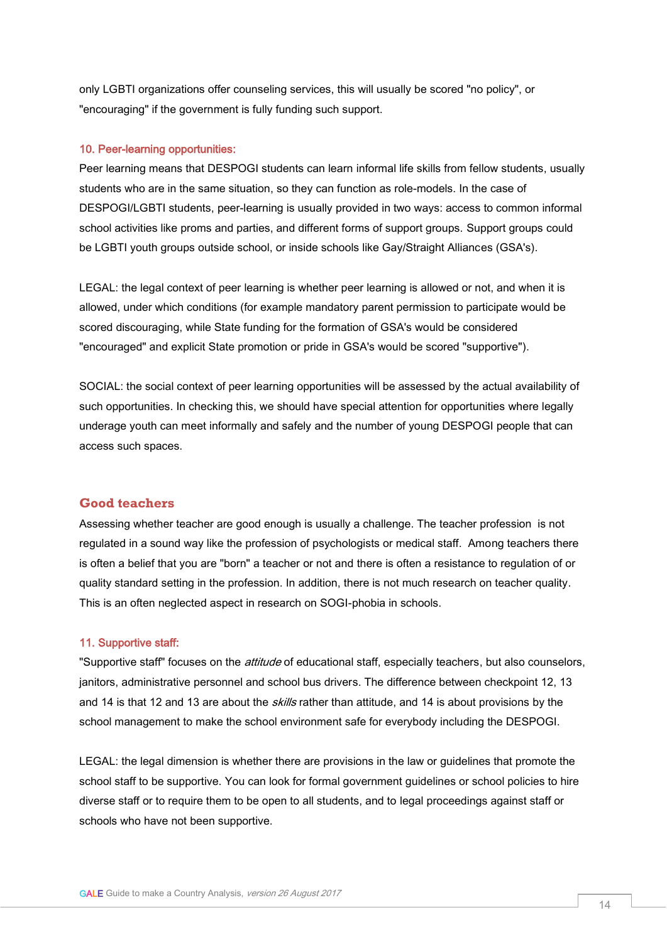only LGBTI organizations offer counseling services, this will usually be scored "no policy", or "encouraging" if the government is fully funding such support.

#### 10. Peer-learning opportunities:

Peer learning means that DESPOGI students can learn informal life skills from fellow students, usually students who are in the same situation, so they can function as role-models. In the case of DESPOGI/LGBTI students, peer-learning is usually provided in two ways: access to common informal school activities like proms and parties, and different forms of support groups. Support groups could be LGBTI youth groups outside school, or inside schools like Gay/Straight Alliances (GSA's).

LEGAL: the legal context of peer learning is whether peer learning is allowed or not, and when it is allowed, under which conditions (for example mandatory parent permission to participate would be scored discouraging, while State funding for the formation of GSA's would be considered "encouraged" and explicit State promotion or pride in GSA's would be scored "supportive").

SOCIAL: the social context of peer learning opportunities will be assessed by the actual availability of such opportunities. In checking this, we should have special attention for opportunities where legally underage youth can meet informally and safely and the number of young DESPOGI people that can access such spaces.

## **Good teachers**

Assessing whether teacher are good enough is usually a challenge. The teacher profession is not regulated in a sound way like the profession of psychologists or medical staff. Among teachers there is often a belief that you are "born" a teacher or not and there is often a resistance to regulation of or quality standard setting in the profession. In addition, there is not much research on teacher quality. This is an often neglected aspect in research on SOGI-phobia in schools.

#### 11. Supportive staff:

"Supportive staff" focuses on the *attitude* of educational staff, especially teachers, but also counselors, janitors, administrative personnel and school bus drivers. The difference between checkpoint 12, 13 and 14 is that 12 and 13 are about the *skills* rather than attitude, and 14 is about provisions by the school management to make the school environment safe for everybody including the DESPOGI.

LEGAL: the legal dimension is whether there are provisions in the law or guidelines that promote the school staff to be supportive. You can look for formal government guidelines or school policies to hire diverse staff or to require them to be open to all students, and to legal proceedings against staff or schools who have not been supportive.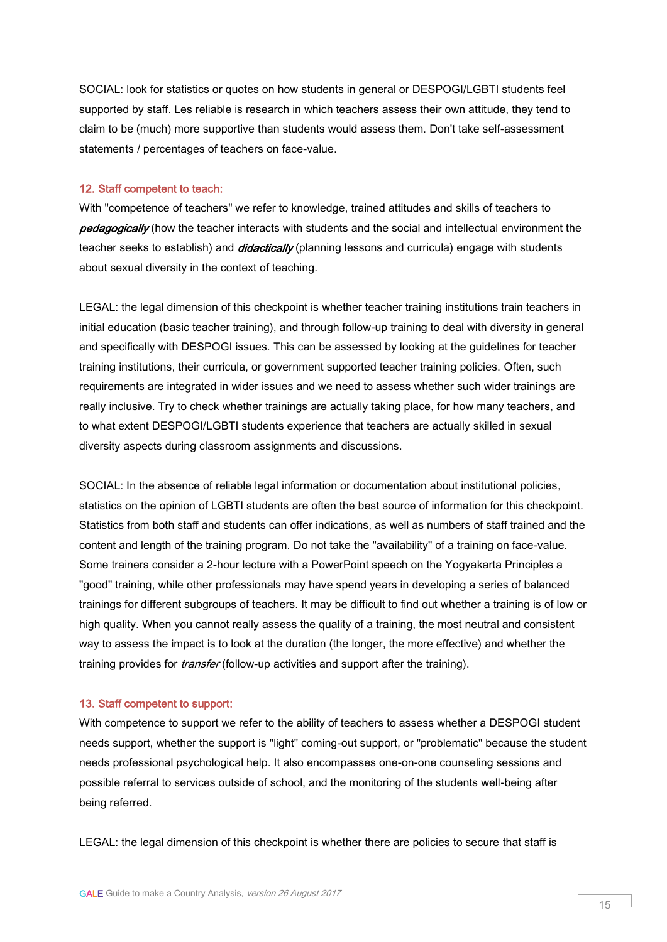SOCIAL: look for statistics or quotes on how students in general or DESPOGI/LGBTI students feel supported by staff. Les reliable is research in which teachers assess their own attitude, they tend to claim to be (much) more supportive than students would assess them. Don't take self-assessment statements / percentages of teachers on face-value.

#### 12. Staff competent to teach:

With "competence of teachers" we refer to knowledge, trained attitudes and skills of teachers to pedagogically (how the teacher interacts with students and the social and intellectual environment the teacher seeks to establish) and *didactically* (planning lessons and curricula) engage with students about sexual diversity in the context of teaching.

LEGAL: the legal dimension of this checkpoint is whether teacher training institutions train teachers in initial education (basic teacher training), and through follow-up training to deal with diversity in general and specifically with DESPOGI issues. This can be assessed by looking at the guidelines for teacher training institutions, their curricula, or government supported teacher training policies. Often, such requirements are integrated in wider issues and we need to assess whether such wider trainings are really inclusive. Try to check whether trainings are actually taking place, for how many teachers, and to what extent DESPOGI/LGBTI students experience that teachers are actually skilled in sexual diversity aspects during classroom assignments and discussions.

SOCIAL: In the absence of reliable legal information or documentation about institutional policies, statistics on the opinion of LGBTI students are often the best source of information for this checkpoint. Statistics from both staff and students can offer indications, as well as numbers of staff trained and the content and length of the training program. Do not take the "availability" of a training on face-value. Some trainers consider a 2-hour lecture with a PowerPoint speech on the Yogyakarta Principles a "good" training, while other professionals may have spend years in developing a series of balanced trainings for different subgroups of teachers. It may be difficult to find out whether a training is of low or high quality. When you cannot really assess the quality of a training, the most neutral and consistent way to assess the impact is to look at the duration (the longer, the more effective) and whether the training provides for *transfer* (follow-up activities and support after the training).

### 13. Staff competent to support:

With competence to support we refer to the ability of teachers to assess whether a DESPOGI student needs support, whether the support is "light" coming-out support, or "problematic" because the student needs professional psychological help. It also encompasses one-on-one counseling sessions and possible referral to services outside of school, and the monitoring of the students well-being after being referred.

LEGAL: the legal dimension of this checkpoint is whether there are policies to secure that staff is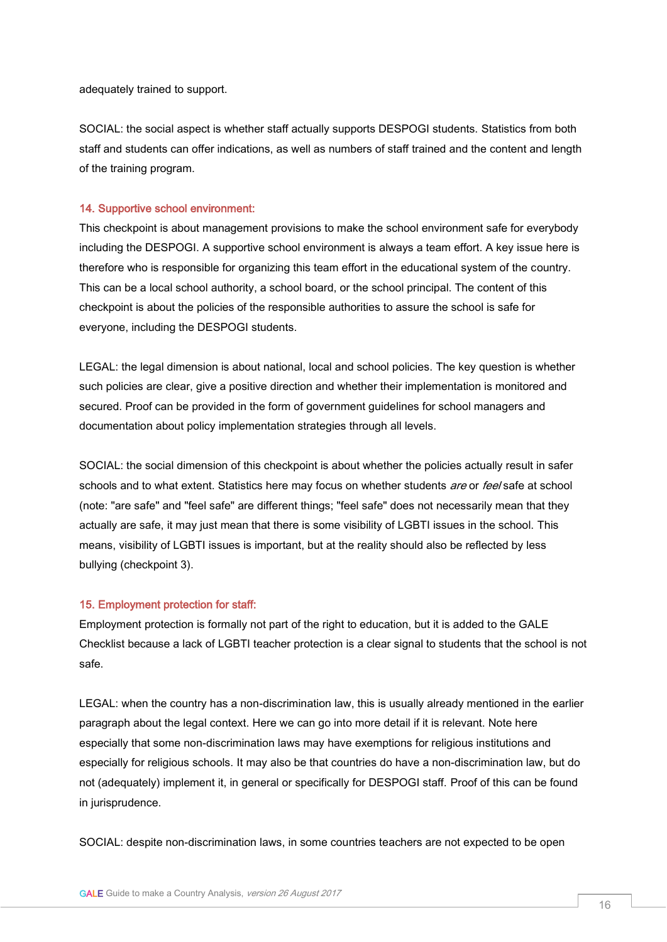adequately trained to support.

SOCIAL: the social aspect is whether staff actually supports DESPOGI students. Statistics from both staff and students can offer indications, as well as numbers of staff trained and the content and length of the training program.

#### 14. Supportive school environment:

This checkpoint is about management provisions to make the school environment safe for everybody including the DESPOGI. A supportive school environment is always a team effort. A key issue here is therefore who is responsible for organizing this team effort in the educational system of the country. This can be a local school authority, a school board, or the school principal. The content of this checkpoint is about the policies of the responsible authorities to assure the school is safe for everyone, including the DESPOGI students.

LEGAL: the legal dimension is about national, local and school policies. The key question is whether such policies are clear, give a positive direction and whether their implementation is monitored and secured. Proof can be provided in the form of government guidelines for school managers and documentation about policy implementation strategies through all levels.

SOCIAL: the social dimension of this checkpoint is about whether the policies actually result in safer schools and to what extent. Statistics here may focus on whether students are or feel safe at school (note: "are safe" and "feel safe" are different things; "feel safe" does not necessarily mean that they actually are safe, it may just mean that there is some visibility of LGBTI issues in the school. This means, visibility of LGBTI issues is important, but at the reality should also be reflected by less bullying (checkpoint 3).

### 15. Employment protection for staff:

Employment protection is formally not part of the right to education, but it is added to the GALE Checklist because a lack of LGBTI teacher protection is a clear signal to students that the school is not safe.

LEGAL: when the country has a non-discrimination law, this is usually already mentioned in the earlier paragraph about the legal context. Here we can go into more detail if it is relevant. Note here especially that some non-discrimination laws may have exemptions for religious institutions and especially for religious schools. It may also be that countries do have a non-discrimination law, but do not (adequately) implement it, in general or specifically for DESPOGI staff. Proof of this can be found in jurisprudence.

SOCIAL: despite non-discrimination laws, in some countries teachers are not expected to be open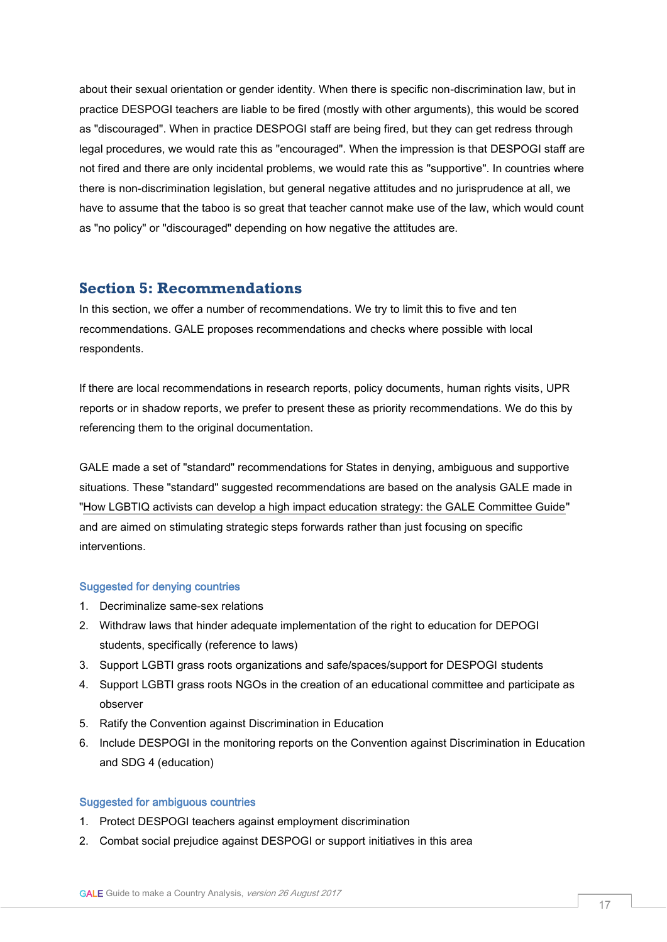about their sexual orientation or gender identity. When there is specific non-discrimination law, but in practice DESPOGI teachers are liable to be fired (mostly with other arguments), this would be scored as "discouraged". When in practice DESPOGI staff are being fired, but they can get redress through legal procedures, we would rate this as "encouraged". When the impression is that DESPOGI staff are not fired and there are only incidental problems, we would rate this as "supportive". In countries where there is non-discrimination legislation, but general negative attitudes and no jurisprudence at all, we have to assume that the taboo is so great that teacher cannot make use of the law, which would count as "no policy" or "discouraged" depending on how negative the attitudes are.

# **Section 5: Recommendations**

In this section, we offer a number of recommendations. We try to limit this to five and ten recommendations. GALE proposes recommendations and checks where possible with local respondents.

If there are local recommendations in research reports, policy documents, human rights visits, UPR reports or in shadow reports, we prefer to present these as priority recommendations. We do this by referencing them to the original documentation.

GALE made a set of "standard" recommendations for States in denying, ambiguous and supportive situations. These "standard" suggested recommendations are based on the analysis GALE made in ["How LGBTIQ activists can develop a high impact education strategy: the GALE Committee Guide"](https://www.gale.info/doc/gale-products/GALE_COMMITTEE_GUIDE.pdf) and are aimed on stimulating strategic steps forwards rather than just focusing on specific interventions.

#### Suggested for denying countries

- 1. Decriminalize same-sex relations
- 2. Withdraw laws that hinder adequate implementation of the right to education for DEPOGI students, specifically (reference to laws)
- 3. Support LGBTI grass roots organizations and safe/spaces/support for DESPOGI students
- 4. Support LGBTI grass roots NGOs in the creation of an educational committee and participate as observer
- 5. Ratify the Convention against Discrimination in Education
- 6. Include DESPOGI in the monitoring reports on the Convention against Discrimination in Education and SDG 4 (education)

## Suggested for ambiguous countries

- 1. Protect DESPOGI teachers against employment discrimination
- 2. Combat social prejudice against DESPOGI or support initiatives in this area